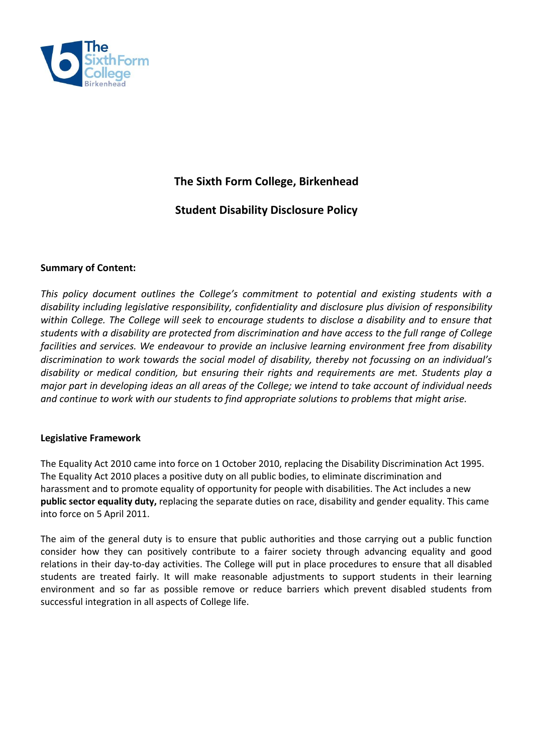

# **The Sixth Form College, Birkenhead**

# **Student Disability Disclosure Policy**

#### **Summary of Content:**

*This policy document outlines the College's commitment to potential and existing students with a disability including legislative responsibility, confidentiality and disclosure plus division of responsibility within College. The College will seek to encourage students to disclose a disability and to ensure that students with a disability are protected from discrimination and have access to the full range of College facilities and services. We endeavour to provide an inclusive learning environment free from disability discrimination to work towards the social model of disability, thereby not focussing on an individual's disability or medical condition, but ensuring their rights and requirements are met. Students play a major part in developing ideas an all areas of the College; we intend to take account of individual needs and continue to work with our students to find appropriate solutions to problems that might arise.* 

#### **Legislative Framework**

The Equality Act 2010 came into force on 1 October 2010, replacing the Disability Discrimination Act 1995. The Equality Act 2010 places a positive duty on all public bodies, to eliminate discrimination and harassment and to promote equality of opportunity for people with disabilities. The Act includes a new **public sector equality duty,** replacing the separate duties on race, disability and gender equality. This came into force on 5 April 2011.

The aim of the general duty is to ensure that public authorities and those carrying out a public function consider how they can positively contribute to a fairer society through advancing equality and good relations in their day-to-day activities. The College will put in place procedures to ensure that all disabled students are treated fairly. It will make reasonable adjustments to support students in their learning environment and so far as possible remove or reduce barriers which prevent disabled students from successful integration in all aspects of College life.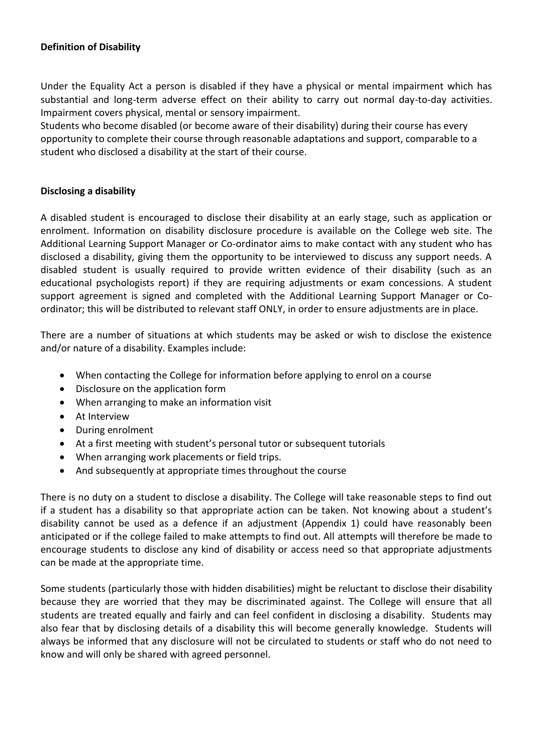#### **Definition of Disability**

Under the Equality Act a person is disabled if they have a physical or mental impairment which has substantial and long-term adverse effect on their ability to carry out normal day-to-day activities. Impairment covers physical, mental or sensory impairment.

Students who become disabled (or become aware of their disability) during their course has every opportunity to complete their course through reasonable adaptations and support, comparable to a student who disclosed a disability at the start of their course.

#### **Disclosing a disability**

A disabled student is encouraged to disclose their disability at an early stage, such as application or enrolment. Information on disability disclosure procedure is available on the College web site. The Additional Learning Support Manager or Co-ordinator aims to make contact with any student who has disclosed a disability, giving them the opportunity to be interviewed to discuss any support needs. A disabled student is usually required to provide written evidence of their disability (such as an educational psychologists report) if they are requiring adjustments or exam concessions. A student support agreement is signed and completed with the Additional Learning Support Manager or Coordinator; this will be distributed to relevant staff ONLY, in order to ensure adjustments are in place.

There are a number of situations at which students may be asked or wish to disclose the existence and/or nature of a disability. Examples include:

- When contacting the College for information before applying to enrol on a course
- Disclosure on the application form
- When arranging to make an information visit
- At Interview
- During enrolment
- At a first meeting with student's personal tutor or subsequent tutorials
- When arranging work placements or field trips.
- And subsequently at appropriate times throughout the course

There is no duty on a student to disclose a disability. The College will take reasonable steps to find out if a student has a disability so that appropriate action can be taken. Not knowing about a student's disability cannot be used as a defence if an adjustment (Appendix 1) could have reasonably been anticipated or if the college failed to make attempts to find out. All attempts will therefore be made to encourage students to disclose any kind of disability or access need so that appropriate adjustments can be made at the appropriate time.

Some students (particularly those with hidden disabilities) might be reluctant to disclose their disability because they are worried that they may be discriminated against. The College will ensure that all students are treated equally and fairly and can feel confident in disclosing a disability. Students may also fear that by disclosing details of a disability this will become generally knowledge. Students will always be informed that any disclosure will not be circulated to students or staff who do not need to know and will only be shared with agreed personnel.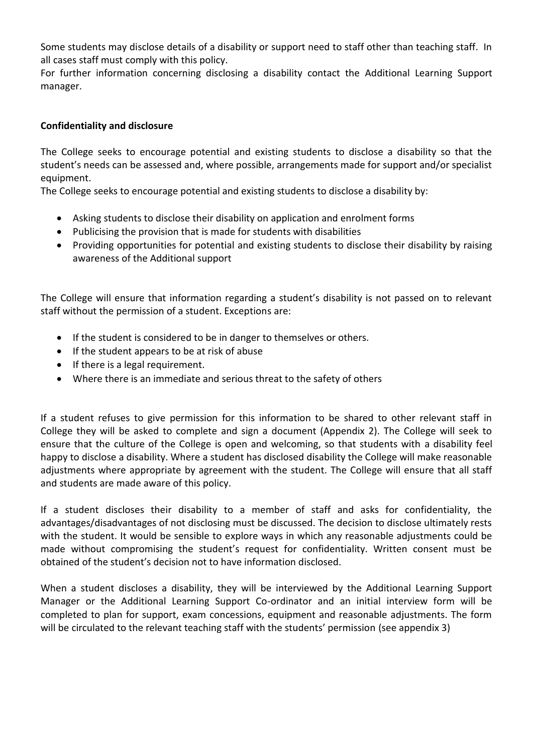Some students may disclose details of a disability or support need to staff other than teaching staff. In all cases staff must comply with this policy.

For further information concerning disclosing a disability contact the Additional Learning Support manager.

### **Confidentiality and disclosure**

The College seeks to encourage potential and existing students to disclose a disability so that the student's needs can be assessed and, where possible, arrangements made for support and/or specialist equipment.

The College seeks to encourage potential and existing students to disclose a disability by:

- Asking students to disclose their disability on application and enrolment forms
- Publicising the provision that is made for students with disabilities
- Providing opportunities for potential and existing students to disclose their disability by raising awareness of the Additional support

The College will ensure that information regarding a student's disability is not passed on to relevant staff without the permission of a student. Exceptions are:

- If the student is considered to be in danger to themselves or others.
- If the student appears to be at risk of abuse
- If there is a legal requirement.
- Where there is an immediate and serious threat to the safety of others

If a student refuses to give permission for this information to be shared to other relevant staff in College they will be asked to complete and sign a document (Appendix 2). The College will seek to ensure that the culture of the College is open and welcoming, so that students with a disability feel happy to disclose a disability. Where a student has disclosed disability the College will make reasonable adjustments where appropriate by agreement with the student. The College will ensure that all staff and students are made aware of this policy.

If a student discloses their disability to a member of staff and asks for confidentiality, the advantages/disadvantages of not disclosing must be discussed. The decision to disclose ultimately rests with the student. It would be sensible to explore ways in which any reasonable adjustments could be made without compromising the student's request for confidentiality. Written consent must be obtained of the student's decision not to have information disclosed.

When a student discloses a disability, they will be interviewed by the Additional Learning Support Manager or the Additional Learning Support Co-ordinator and an initial interview form will be completed to plan for support, exam concessions, equipment and reasonable adjustments. The form will be circulated to the relevant teaching staff with the students' permission (see appendix 3)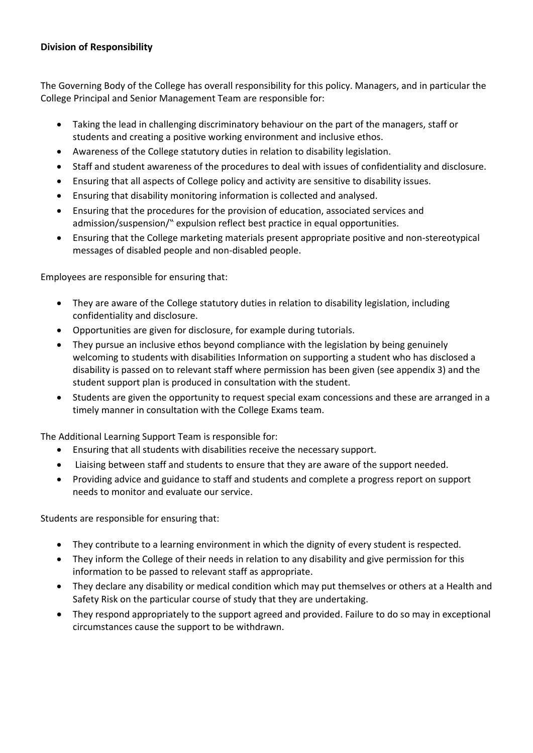#### **Division of Responsibility**

The Governing Body of the College has overall responsibility for this policy. Managers, and in particular the College Principal and Senior Management Team are responsible for:

- Taking the lead in challenging discriminatory behaviour on the part of the managers, staff or students and creating a positive working environment and inclusive ethos.
- Awareness of the College statutory duties in relation to disability legislation.
- Staff and student awareness of the procedures to deal with issues of confidentiality and disclosure.
- Ensuring that all aspects of College policy and activity are sensitive to disability issues.
- Ensuring that disability monitoring information is collected and analysed.
- Ensuring that the procedures for the provision of education, associated services and admission/suspension/" expulsion reflect best practice in equal opportunities.
- Ensuring that the College marketing materials present appropriate positive and non-stereotypical messages of disabled people and non-disabled people.

Employees are responsible for ensuring that:

- They are aware of the College statutory duties in relation to disability legislation, including confidentiality and disclosure.
- Opportunities are given for disclosure, for example during tutorials.
- They pursue an inclusive ethos beyond compliance with the legislation by being genuinely welcoming to students with disabilities Information on supporting a student who has disclosed a disability is passed on to relevant staff where permission has been given (see appendix 3) and the student support plan is produced in consultation with the student.
- Students are given the opportunity to request special exam concessions and these are arranged in a timely manner in consultation with the College Exams team.

The Additional Learning Support Team is responsible for:

- Ensuring that all students with disabilities receive the necessary support.
- Liaising between staff and students to ensure that they are aware of the support needed.
- Providing advice and guidance to staff and students and complete a progress report on support needs to monitor and evaluate our service.

Students are responsible for ensuring that:

- They contribute to a learning environment in which the dignity of every student is respected.
- They inform the College of their needs in relation to any disability and give permission for this information to be passed to relevant staff as appropriate.
- They declare any disability or medical condition which may put themselves or others at a Health and Safety Risk on the particular course of study that they are undertaking.
- They respond appropriately to the support agreed and provided. Failure to do so may in exceptional circumstances cause the support to be withdrawn.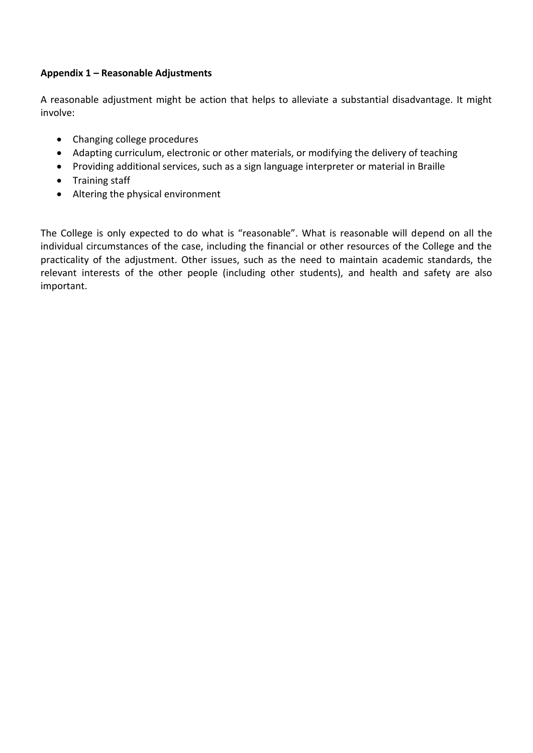#### **Appendix 1 – Reasonable Adjustments**

A reasonable adjustment might be action that helps to alleviate a substantial disadvantage. It might involve:

- Changing college procedures
- Adapting curriculum, electronic or other materials, or modifying the delivery of teaching
- Providing additional services, such as a sign language interpreter or material in Braille
- Training staff
- Altering the physical environment

The College is only expected to do what is "reasonable". What is reasonable will depend on all the individual circumstances of the case, including the financial or other resources of the College and the practicality of the adjustment. Other issues, such as the need to maintain academic standards, the relevant interests of the other people (including other students), and health and safety are also important.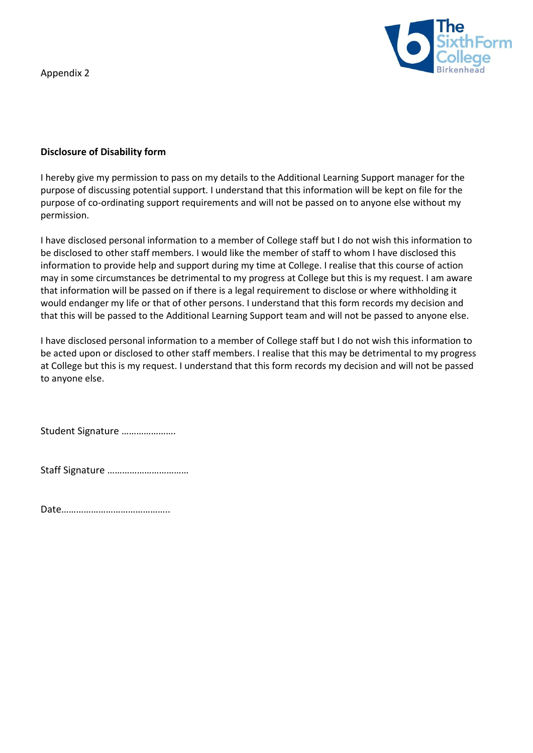Appendix 2



#### **Disclosure of Disability form**

I hereby give my permission to pass on my details to the Additional Learning Support manager for the purpose of discussing potential support. I understand that this information will be kept on file for the purpose of co-ordinating support requirements and will not be passed on to anyone else without my permission.

I have disclosed personal information to a member of College staff but I do not wish this information to be disclosed to other staff members. I would like the member of staff to whom I have disclosed this information to provide help and support during my time at College. I realise that this course of action may in some circumstances be detrimental to my progress at College but this is my request. I am aware that information will be passed on if there is a legal requirement to disclose or where withholding it would endanger my life or that of other persons. I understand that this form records my decision and that this will be passed to the Additional Learning Support team and will not be passed to anyone else.

I have disclosed personal information to a member of College staff but I do not wish this information to be acted upon or disclosed to other staff members. I realise that this may be detrimental to my progress at College but this is my request. I understand that this form records my decision and will not be passed to anyone else.

Student Signature ………………….

Staff Signature ……………………………

Date……………………………………..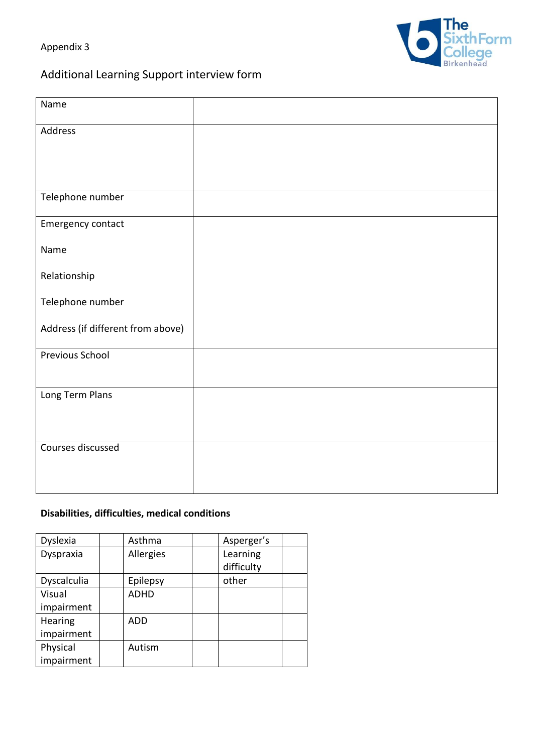Appendix 3





| Name                              |  |
|-----------------------------------|--|
| Address                           |  |
|                                   |  |
|                                   |  |
| Telephone number                  |  |
| Emergency contact                 |  |
| Name                              |  |
| Relationship                      |  |
| Telephone number                  |  |
| Address (if different from above) |  |
| Previous School                   |  |
|                                   |  |
|                                   |  |
|                                   |  |
| Courses discussed                 |  |
|                                   |  |
| Long Term Plans                   |  |

### **Disabilities, difficulties, medical conditions**

| Dyslexia    | Asthma      | Asperger's |
|-------------|-------------|------------|
| Dyspraxia   | Allergies   | Learning   |
|             |             | difficulty |
| Dyscalculia | Epilepsy    | other      |
| Visual      | <b>ADHD</b> |            |
| impairment  |             |            |
| Hearing     | <b>ADD</b>  |            |
| impairment  |             |            |
| Physical    | Autism      |            |
| impairment  |             |            |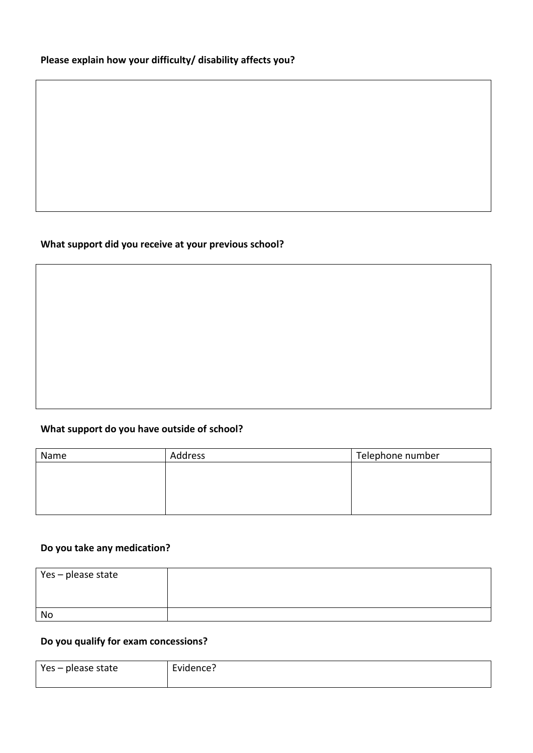### **Please explain how your difficulty/ disability affects you?**

### **What support did you receive at your previous school?**

### **What support do you have outside of school?**

| Name | Address | Telephone number |  |
|------|---------|------------------|--|
|      |         |                  |  |
|      |         |                  |  |
|      |         |                  |  |
|      |         |                  |  |

### **Do you take any medication?**

| Yes - please state |  |
|--------------------|--|
| No                 |  |

#### **Do you qualify for exam concessions?**

| Yes - please state | Evidence? |
|--------------------|-----------|
|                    |           |